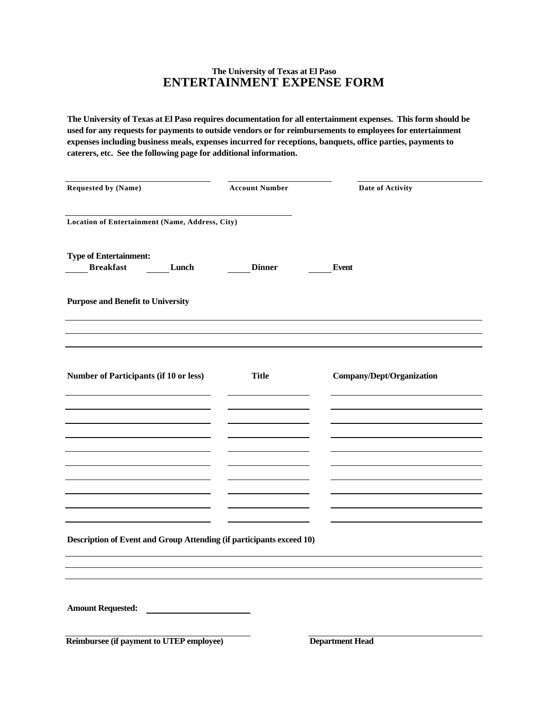# **The University of Texas at El Paso ENTERTAINMENT EXPENSE FORM**

**The University of Texas at El Paso requires documentation for all entertainment expenses. This form should be used for any requests for payments to outside vendors or for reimbursements to employees for entertainment expenses including business meals, expenses incurred for receptions, banquets, office parties, payments to caterers, etc. See the following page for additional information.**

| <b>Requested by (Name)</b>                        |       | <b>Account Number</b>                                                | Date of Activity          |
|---------------------------------------------------|-------|----------------------------------------------------------------------|---------------------------|
| Location of Entertainment (Name, Address, City)   |       |                                                                      |                           |
| <b>Type of Entertainment:</b><br><b>Breakfast</b> | Lunch | <b>Dinner</b>                                                        | <b>Event</b>              |
|                                                   |       |                                                                      |                           |
| <b>Purpose and Benefit to University</b>          |       |                                                                      |                           |
|                                                   |       |                                                                      |                           |
| Number of Participants (if 10 or less)            |       | <b>Title</b>                                                         | Company/Dept/Organization |
|                                                   |       |                                                                      |                           |
|                                                   |       |                                                                      |                           |
|                                                   |       |                                                                      |                           |
|                                                   |       |                                                                      |                           |
|                                                   |       |                                                                      |                           |
|                                                   |       |                                                                      |                           |
|                                                   |       |                                                                      |                           |
|                                                   |       |                                                                      |                           |
|                                                   |       | Description of Event and Group Attending (if participants exceed 10) |                           |
|                                                   |       |                                                                      |                           |
|                                                   |       |                                                                      |                           |
| Amount Requested:                                 |       |                                                                      |                           |
| Reimbursee (if payment to UTEP employee)          |       |                                                                      | <b>Department Head</b>    |